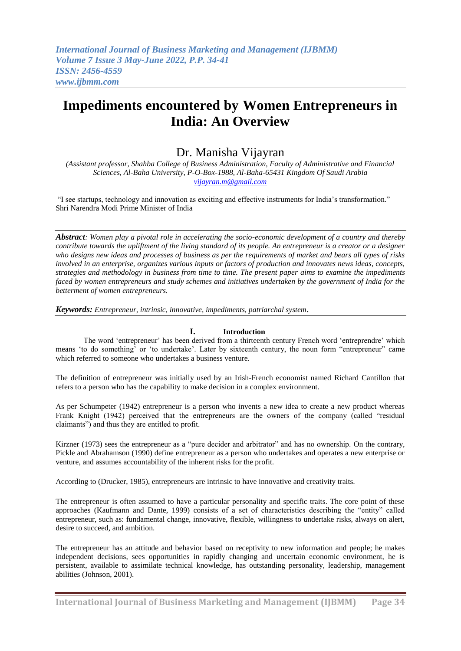# **Impediments encountered by Women Entrepreneurs in India: An Overview**

# Dr. Manisha Vijayran

*(Assistant professor, Shahba College of Business Administration, Faculty of Administrative and Financial Sciences, Al-Baha University, P-O-Box-1988, Al-Baha-65431 Kingdom Of Saudi Arabia [vijayran.m@gmail.com](mailto:vijayran.m@gmail.com)*

"I see startups, technology and innovation as exciting and effective instruments for India's transformation." Shri Narendra Modi Prime Minister of India

*Abstract: Women play a pivotal role in accelerating the socio-economic development of a country and thereby contribute towards the upliftment of the living standard of its people. An entrepreneur is a creator or a designer who designs new ideas and processes of business as per the requirements of market and bears all types of risks involved in an enterprise, organizes various inputs or factors of production and innovates news ideas, concepts, strategies and methodology in business from time to time. The present paper aims to examine the impediments faced by women entrepreneurs and study schemes and initiatives undertaken by the government of India for the betterment of women entrepreneurs.*

*Keywords: Entrepreneur, intrinsic, innovative, impediments, patriarchal system*.

### **I. Introduction**

The word ‗entrepreneur' has been derived from a thirteenth century French word ‗entreprendre' which means 'to do something' or 'to undertake'. Later by sixteenth century, the noun form "entrepreneur" came which referred to someone who undertakes a business venture.

The definition of entrepreneur was initially used by an Irish-French economist named Richard Cantillon that refers to a person who has the capability to make decision in a complex environment.

As per Schumpeter (1942) entrepreneur is a person who invents a new idea to create a new product whereas Frank Knight (1942) perceived that the entrepreneurs are the owners of the company (called "residual claimants") and thus they are entitled to profit.

Kirzner (1973) sees the entrepreneur as a "pure decider and arbitrator" and has no ownership. On the contrary, Pickle and Abrahamson (1990) define entrepreneur as a person who undertakes and operates a new enterprise or venture, and assumes accountability of the inherent risks for the profit.

According to (Drucker, 1985), entrepreneurs are intrinsic to have innovative and creativity traits.

The entrepreneur is often assumed to have a particular personality and specific traits. The core point of these approaches (Kaufmann and Dante, 1999) consists of a set of characteristics describing the "entity" called entrepreneur, such as: fundamental change, innovative, flexible, willingness to undertake risks, always on alert, desire to succeed, and ambition.

The entrepreneur has an attitude and behavior based on receptivity to new information and people; he makes independent decisions, sees opportunities in rapidly changing and uncertain economic environment, he is persistent, available to assimilate technical knowledge, has outstanding personality, leadership, management abilities (Johnson, 2001).

**International Journal of Business Marketing and Management (IJBMM) Page 34**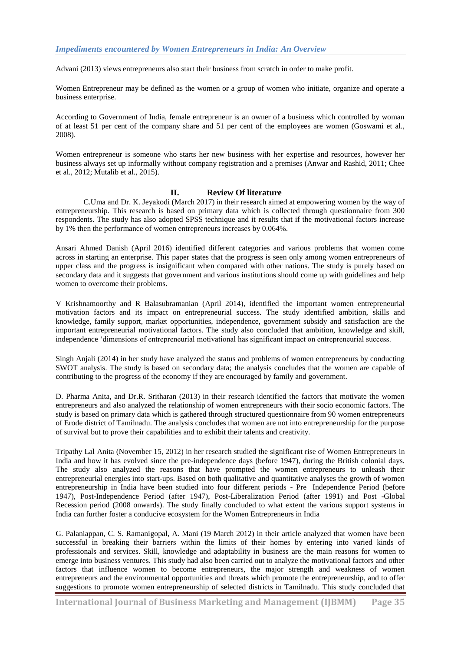Advani (2013) views entrepreneurs also start their business from scratch in order to make profit.

Women Entrepreneur may be defined as the women or a group of women who initiate, organize and operate a business enterprise.

According to Government of India, female entrepreneur is an owner of a business which controlled by woman of at least 51 per cent of the company share and 51 per cent of the employees are women (Goswami et al., 2008).

Women entrepreneur is someone who starts her new business with her expertise and resources, however her business always set up informally without company registration and a premises (Anwar and Rashid, 2011; Chee et al., 2012; Mutalib et al., 2015).

#### **II. Review Of literature**

C.Uma and Dr. K. Jeyakodi (March 2017) in their research aimed at empowering women by the way of entrepreneurship. This research is based on primary data which is collected through questionnaire from 300 respondents. The study has also adopted SPSS technique and it results that if the motivational factors increase by 1% then the performance of women entrepreneurs increases by 0.064%.

Ansari Ahmed Danish (April 2016) identified different categories and various problems that women come across in starting an enterprise. This paper states that the progress is seen only among women entrepreneurs of upper class and the progress is insignificant when compared with other nations. The study is purely based on secondary data and it suggests that government and various institutions should come up with guidelines and help women to overcome their problems.

V Krishnamoorthy and R Balasubramanian (April 2014), identified the important women entrepreneurial motivation factors and its impact on entrepreneurial success. The study identified ambition, skills and knowledge, family support, market opportunities, independence, government subsidy and satisfaction are the important entrepreneurial motivational factors. The study also concluded that ambition, knowledge and skill, independence ‗dimensions of entrepreneurial motivational has significant impact on entrepreneurial success.

Singh Anjali (2014) in her study have analyzed the status and problems of women entrepreneurs by conducting SWOT analysis. The study is based on secondary data; the analysis concludes that the women are capable of contributing to the progress of the economy if they are encouraged by family and government.

D. Pharma Anita, and Dr.R. Sritharan (2013) in their research identified the factors that motivate the women entrepreneurs and also analyzed the relationship of women entrepreneurs with their socio economic factors. The study is based on primary data which is gathered through structured questionnaire from 90 women entrepreneurs of Erode district of Tamilnadu. The analysis concludes that women are not into entrepreneurship for the purpose of survival but to prove their capabilities and to exhibit their talents and creativity.

Tripathy Lal Anita (November 15, 2012) in her research studied the significant rise of Women Entrepreneurs in India and how it has evolved since the pre-independence days (before 1947), during the British colonial days. The study also analyzed the reasons that have prompted the women entrepreneurs to unleash their entrepreneurial energies into start-ups. Based on both qualitative and quantitative analyses the growth of women entrepreneurship in India have been studied into four different periods - Pre-Independence Period (before 1947), Post-Independence Period (after 1947), Post-Liberalization Period (after 1991) and Post -Global Recession period (2008 onwards). The study finally concluded to what extent the various support systems in India can further foster a conducive ecosystem for the Women Entrepreneurs in India

G. Palaniappan, C. S. Ramanigopal, A. Mani (19 March 2012) in their article analyzed that women have been successful in breaking their barriers within the limits of their homes by entering into varied kinds of professionals and services. Skill, knowledge and adaptability in business are the main reasons for women to emerge into business ventures. This study had also been carried out to analyze the motivational factors and other factors that influence women to become entrepreneurs, the major strength and weakness of women entrepreneurs and the environmental opportunities and threats which promote the entrepreneurship, and to offer suggestions to promote women entrepreneurship of selected districts in Tamilnadu. This study concluded that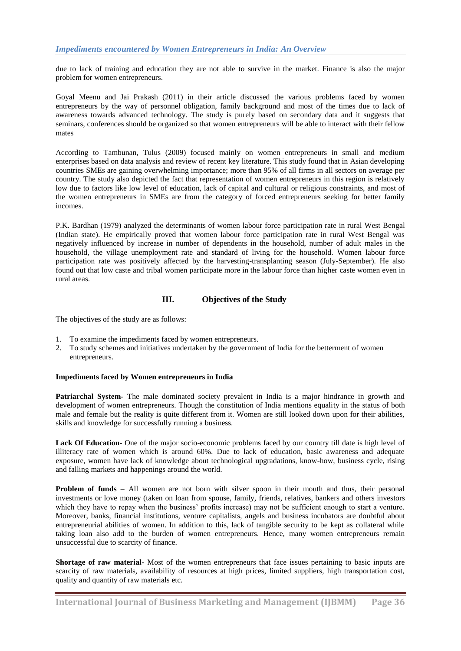due to lack of training and education they are not able to survive in the market. Finance is also the major problem for women entrepreneurs.

Goyal Meenu and Jai Prakash (2011) in their article discussed the various problems faced by women entrepreneurs by the way of personnel obligation, family background and most of the times due to lack of awareness towards advanced technology. The study is purely based on secondary data and it suggests that seminars, conferences should be organized so that women entrepreneurs will be able to interact with their fellow mates

According to Tambunan, Tulus (2009) focused mainly on women entrepreneurs in small and medium enterprises based on data analysis and review of recent key literature. This study found that in Asian developing countries SMEs are gaining overwhelming importance; more than 95% of all firms in all sectors on average per country. The study also depicted the fact that representation of women entrepreneurs in this region is relatively low due to factors like low level of education, lack of capital and cultural or religious constraints, and most of the women entrepreneurs in SMEs are from the category of forced entrepreneurs seeking for better family incomes.

P.K. Bardhan (1979) analyzed the determinants of women labour force participation rate in rural West Bengal (Indian state). He empirically proved that women labour force participation rate in rural West Bengal was negatively influenced by increase in number of dependents in the household, number of adult males in the household, the village unemployment rate and standard of living for the household. Women labour force participation rate was positively affected by the harvesting-transplanting season (July-September). He also found out that low caste and tribal women participate more in the labour force than higher caste women even in rural areas.

#### **III. Objectives of the Study**

The objectives of the study are as follows:

- 1. To examine the impediments faced by women entrepreneurs.
- 2. To study schemes and initiatives undertaken by the government of India for the betterment of women entrepreneurs.

#### **Impediments faced by Women entrepreneurs in India**

**Patriarchal System-** The male dominated society prevalent in India is a major hindrance in growth and development of women entrepreneurs. Though the constitution of India mentions equality in the status of both male and female but the reality is quite different from it. Women are still looked down upon for their abilities, skills and knowledge for successfully running a business.

**Lack Of Education-** One of the major socio-economic problems faced by our country till date is high level of illiteracy rate of women which is around 60%. Due to lack of education, basic awareness and adequate exposure, women have lack of knowledge about technological upgradations, know-how, business cycle, rising and falling markets and happenings around the world.

**Problem of funds –** All women are not born with silver spoon in their mouth and thus, their personal investments or love money (taken on loan from spouse, family, friends, relatives, bankers and others investors which they have to repay when the business' profits increase) may not be sufficient enough to start a venture. Moreover, banks, financial institutions, venture capitalists, angels and business incubators are doubtful about entrepreneurial abilities of women. In addition to this, lack of tangible security to be kept as collateral while taking loan also add to the burden of women entrepreneurs. Hence, many women entrepreneurs remain unsuccessful due to scarcity of finance.

**Shortage of raw material-** Most of the women entrepreneurs that face issues pertaining to basic inputs are scarcity of raw materials, availability of resources at high prices, limited suppliers, high transportation cost, quality and quantity of raw materials etc.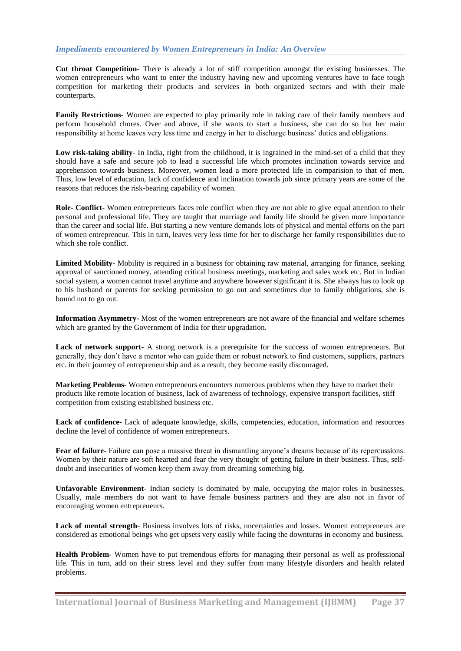**Cut throat Competition-** There is already a lot of stiff competition amongst the existing businesses. The women entrepreneurs who want to enter the industry having new and upcoming ventures have to face tough competition for marketing their products and services in both organized sectors and with their male counterparts.

**Family Restrictions-** Women are expected to play primarily role in taking care of their family members and perform household chores. Over and above, if she wants to start a business, she can do so but her main responsibility at home leaves very less time and energy in her to discharge business' duties and obligations.

Low risk-taking ability- In India, right from the childhood, it is ingrained in the mind-set of a child that they should have a safe and secure job to lead a successful life which promotes inclination towards service and apprehension towards business. Moreover, women lead a more protected life in comparision to that of men. Thus, low level of education, lack of confidence and inclination towards job since primary years are some of the reasons that reduces the risk-bearing capability of women.

**Role- Conflict-** Women entrepreneurs faces role conflict when they are not able to give equal attention to their personal and professional life. They are taught that marriage and family life should be given more importance than the career and social life. But starting a new venture demands lots of physical and mental efforts on the part of women entrepreneur. This in turn, leaves very less time for her to discharge her family responsibilities due to which she role conflict.

**Limited Mobility-** Mobility is required in a business for obtaining raw material, arranging for finance, seeking approval of sanctioned money, attending critical business meetings, marketing and sales work etc. But in Indian social system, a women cannot travel anytime and anywhere however significant it is. She always has to look up to his husband or parents for seeking permission to go out and sometimes due to family obligations, she is bound not to go out.

**Information Asymmetry-** Most of the women entrepreneurs are not aware of the financial and welfare schemes which are granted by the Government of India for their upgradation.

**Lack of network support-** A strong network is a prerequisite for the success of women entrepreneurs. But generally, they don't have a mentor who can guide them or robust network to find customers, suppliers, partners etc. in their journey of entrepreneurship and as a result, they become easily discouraged.

**Marketing Problems-** Women entrepreneurs encounters numerous problems when they have to market their products like remote location of business, lack of awareness of technology, expensive transport facilities, stiff competition from existing established business etc.

**Lack of confidence-** Lack of adequate knowledge, skills, competencies, education, information and resources decline the level of confidence of women entrepreneurs.

**Fear of failure-** Failure can pose a massive threat in dismantling anyone's dreams because of its repercussions. Women by their nature are soft hearted and fear the very thought of getting failure in their business. Thus, selfdoubt and insecurities of women keep them away from dreaming something big.

**Unfavorable Environment-** Indian society is dominated by male, occupying the major roles in businesses. Usually, male members do not want to have female business partners and they are also not in favor of encouraging women entrepreneurs.

**Lack of mental strength**- Business involves lots of risks, uncertainties and losses. Women entrepreneurs are considered as emotional beings who get upsets very easily while facing the downturns in economy and business.

**Health Problem-** Women have to put tremendous efforts for managing their personal as well as professional life. This in turn, add on their stress level and they suffer from many lifestyle disorders and health related problems.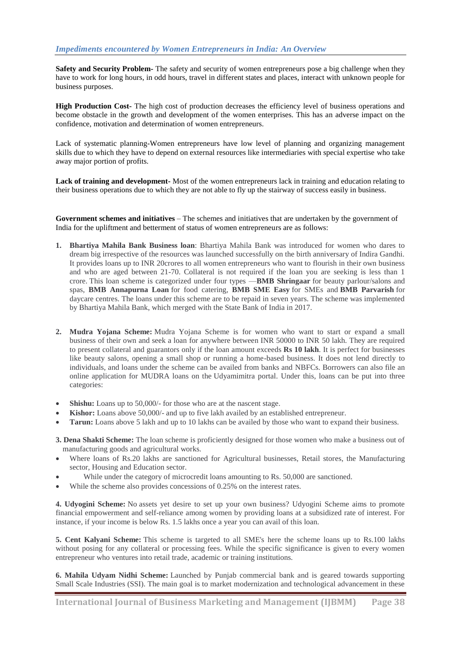**Safety and Security Problem-** The safety and security of women entrepreneurs pose a big challenge when they have to work for long hours, in odd hours, travel in different states and places, interact with unknown people for business purposes.

**High Production Cost-** The high cost of production decreases the efficiency level of business operations and become obstacle in the growth and development of the women enterprises. This has an adverse impact on the confidence, motivation and determination of women entrepreneurs.

Lack of systematic planning-Women entrepreneurs have low level of planning and organizing management skills due to which they have to depend on external resources like intermediaries with special expertise who take away major portion of profits.

**Lack of training and development-** Most of the women entrepreneurs lack in training and education relating to their business operations due to which they are not able to fly up the stairway of success easily in business.

**Government schemes and initiatives** – The schemes and initiatives that are undertaken by the government of India for the upliftment and betterment of status of women entrepreneurs are as follows:

- **1. Bhartiya Mahila Bank Business loan**: Bhartiya Mahila Bank was introduced for women who dares to dream big irrespective of the resources was launched successfully on the birth anniversary of Indira Gandhi. It provides loans up to INR 20crores to all women entrepreneurs who want to flourish in their own business and who are aged between 21-70. Collateral is not required if the loan you are seeking is less than 1 crore. This loan scheme is categorized under four types —**BMB Shringaar** for beauty parlour/salons and spas, **BMB Annapurna Loan** for food catering, **BMB SME Easy** for SMEs and **BMB Parvarish** for daycare centres. The loans under this scheme are to be repaid in seven years. The scheme was implemented by Bhartiya Mahila Bank, which merged with the State Bank of India in 2017.
- **2. Mudra Yojana Scheme:** Mudra Yojana Scheme is for women who want to start or expand a small business of their own and seek a loan for anywhere between INR 50000 to INR 50 lakh. They are required to present collateral and guarantors only if the loan amount exceeds **Rs 10 lakh**. It is perfect for businesses like beauty salons, opening a small shop or running a home-based business. It does not lend directly to individuals, and loans under the scheme can be availed from banks and NBFCs. Borrowers can also file an online application for MUDRA loans on the [Udyamimitra portal.](https://yourstory.com/smbstory/msme-business-loans-mudra-yojna-scheme-women-entrepreneurs/amp) Under this, loans can be put into three categories:
- **Shishu:** Loans up to 50,000/- for those who are at the nascent stage.
- **Kishor:** Loans above 50,000/- and up to five lakh availed by an established entrepreneur.
- **Tarun:** Loans above 5 lakh and up to 10 lakhs can be availed by those who want to expand their business.

**3. Dena Shakti Scheme:** The loan scheme is proficiently designed for those women who make a business out of manufacturing goods and agricultural works.

- Where loans of Rs.20 lakhs are sanctioned for Agricultural businesses, Retail stores, the Manufacturing sector, Housing and Education sector.
- While under the category of microcredit loans amounting to Rs. 50,000 are sanctioned.
- While the scheme also provides concessions of 0.25% on the interest rates.

**4. Udyogini Scheme:** No assets yet desire to set up your own business? Udyogini Scheme aims to promote financial empowerment and self-reliance among women by providing loans at a subsidized rate of interest. For instance, if your income is below Rs. 1.5 lakhs once a year you can avail of this loan.

**5. Cent Kalyani Scheme:** This scheme is targeted to all SME's here the scheme loans up to Rs.100 lakhs without posing for any collateral or processing fees. While the specific significance is given to every women entrepreneur who ventures into retail trade, academic or training institutions.

**6. Mahila Udyam Nidhi Scheme:** Launched by Punjab commercial bank and is geared towards supporting Small Scale Industries (SSI). The main goal is to market modernization and technological advancement in these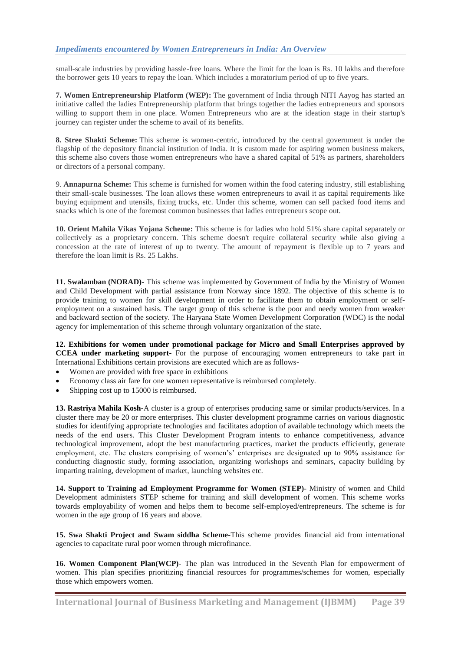small-scale industries by providing hassle-free loans. Where the limit for the loan is Rs. 10 lakhs and therefore the borrower gets 10 years to repay the loan. Which includes a moratorium period of up to five years.

**7. Women Entrepreneurship Platform (WEP):** The government of India through NITI Aayog has started an initiative called the ladies Entrepreneurship platform that brings together the ladies entrepreneurs and sponsors willing to support them in one place. Women Entrepreneurs who are at the ideation stage in their startup's journey can register under the scheme to avail of its benefits.

**8. Stree Shakti Scheme:** This scheme is women-centric, introduced by the central government is under the flagship of the depository financial institution of India. It is custom made for aspiring women business makers, this scheme also covers those women entrepreneurs who have a shared capital of 51% as partners, shareholders or directors of a personal company.

9. **Annapurna Scheme:** This scheme is furnished for women within the food catering industry, still establishing their small-scale businesses. The loan allows these women entrepreneurs to avail it as capital requirements like buying equipment and utensils, fixing trucks, etc. Under this scheme, women can sell packed food items and snacks which is one of the foremost common businesses that ladies entrepreneurs scope out.

**10. Orient Mahila Vikas Yojana Scheme:** This scheme is for ladies who hold 51% share capital separately or collectively as a proprietary concern. This scheme doesn't require collateral security while also giving a concession at the rate of interest of up to twenty. The amount of repayment is flexible up to 7 years and therefore the loan limit is Rs. 25 Lakhs.

**11. Swalamban (NORAD)-** This scheme was implemented by Government of India by the Ministry of Women and Child Development with partial assistance from Norway since 1892. The objective of this scheme is to provide training to women for skill development in order to facilitate them to obtain employment or selfemployment on a sustained basis. The target group of this scheme is the poor and needy women from weaker and backward section of the society. The Haryana State Women Development Corporation (WDC) is the nodal agency for implementation of this scheme through voluntary organization of the state.

**12. Exhibitions for women under promotional package for Micro and Small Enterprises approved by CCEA under marketing support-** For the purpose of encouraging women entrepreneurs to take part in International Exhibitions certain provisions are executed which are as follows-

- Women are provided with free space in exhibitions
- Economy class air fare for one women representative is reimbursed completely.
- Shipping cost up to 15000 is reimbursed.

**13. Rastriya Mahila Kosh-**A cluster is a group of enterprises producing same or similar products/services. In a cluster there may be 20 or more enterprises. This cluster development programme carries on various diagnostic studies for identifying appropriate technologies and facilitates adoption of available technology which meets the needs of the end users. This Cluster Development Program intents to enhance competitiveness, advance technological improvement, adopt the best manufacturing practices, market the products efficiently, generate employment, etc. The clusters comprising of women's' enterprises are designated up to 90% assistance for conducting diagnostic study, forming association, organizing workshops and seminars, capacity building by imparting training, development of market, launching websites etc.

**14. Support to Training ad Employment Programme for Women (STEP)-** Ministry of women and Child Development administers STEP scheme for training and skill development of women. This scheme works towards employability of women and helps them to become self-employed/entrepreneurs. The scheme is for women in the age group of 16 years and above.

**15. Swa Shakti Project and Swam siddha Scheme-**This scheme provides financial aid from international agencies to capacitate rural poor women through microfinance.

**16. Women Component Plan(WCP)**- The plan was introduced in the Seventh Plan for empowerment of women. This plan specifies prioritizing financial resources for programmes/schemes for women, especially those which empowers women.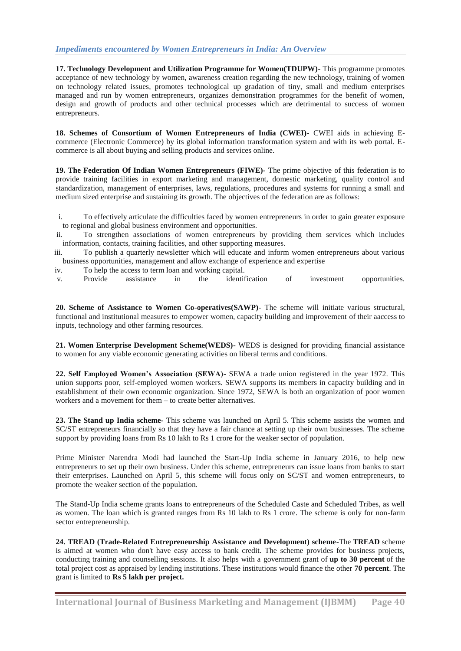## *Impediments encountered by Women Entrepreneurs in India: An Overview*

**17. Technology Development and Utilization Programme for Women(TDUPW)-** This programme promotes acceptance of new technology by women, awareness creation regarding the new technology, training of women on technology related issues, promotes technological up gradation of tiny, small and medium enterprises managed and run by women entrepreneurs, organizes demonstration programmes for the benefit of women, design and growth of products and other technical processes which are detrimental to success of women entrepreneurs.

**18. Schemes of Consortium of Women Entrepreneurs of India (CWEI)-** CWEI aids in achieving Ecommerce (Electronic Commerce) by its global information transformation system and with its web portal. Ecommerce is all about buying and selling products and services online.

**19. The Federation Of Indian Women Entrepreneurs (FIWE)-** The prime objective of this federation is to provide training facilities in export marketing and management, domestic marketing, quality control and standardization, management of enterprises, laws, regulations, procedures and systems for running a small and medium sized enterprise and sustaining its growth. The objectives of the federation are as follows:

- i. To effectively articulate the difficulties faced by women entrepreneurs in order to gain greater exposure to regional and global business environment and opportunities.
- ii. To strengthen associations of women entrepreneurs by providing them services which includes information, contacts, training facilities, and other supporting measures.
- iii. To publish a quarterly newsletter which will educate and inform women entrepreneurs about various business opportunities, management and allow exchange of experience and expertise
- iv. To help the access to term loan and working capital.
- v. Provide assistance in the identification of investment opportunities.

**20. Scheme of Assistance to Women Co-operatives(SAWP)-** The scheme will initiate various structural, functional and institutional measures to empower women, capacity building and improvement of their aaccess to inputs, technology and other farming resources.

**21. Women Enterprise Development Scheme(WEDS)-** WEDS is designed for providing financial assistance to women for any viable economic generating activities on liberal terms and conditions.

**22. Self Employed Women's Association (SEWA)-** SEWA a trade union registered in the year 1972. This union supports poor, self-employed women workers. SEWA supports its members in capacity building and in establishment of their own economic organization. Since 1972, SEWA is both an organization of poor women workers and a movement for them – to create better alternatives.

**23. The Stand up India scheme-** This scheme was launched on April 5. This scheme assists the women and SC/ST entrepreneurs financially so that they have a fair chance at setting up their own businesses. The scheme support by providing loans from Rs 10 lakh to Rs 1 crore for the weaker sector of population.

Prime Minister Narendra Modi had launched the Start-Up India scheme in January 2016, to help new entrepreneurs to set up their own business. Under this scheme, entrepreneurs can issue loans from banks to start their enterprises. Launched on April 5, this scheme will focus only on SC/ST and women entrepreneurs, to promote the weaker section of the population.

The Stand-Up India scheme grants loans to entrepreneurs of the Scheduled Caste and Scheduled Tribes, as well as women. The loan which is granted ranges from Rs 10 lakh to Rs 1 crore. The scheme is only for non-farm sector entrepreneurship.

**24. TREAD (Trade-Related Entrepreneurship Assistance and Development) scheme-**The **TREAD** scheme is aimed at women who don't have easy access to bank credit. The scheme provides for business projects, conducting training and counselling sessions. It also helps with a government grant of **up to 30 percent** of the total project cost as appraised by lending institutions. These institutions would finance the other **70 percent**. The grant is limited to **Rs 5 lakh per project.**